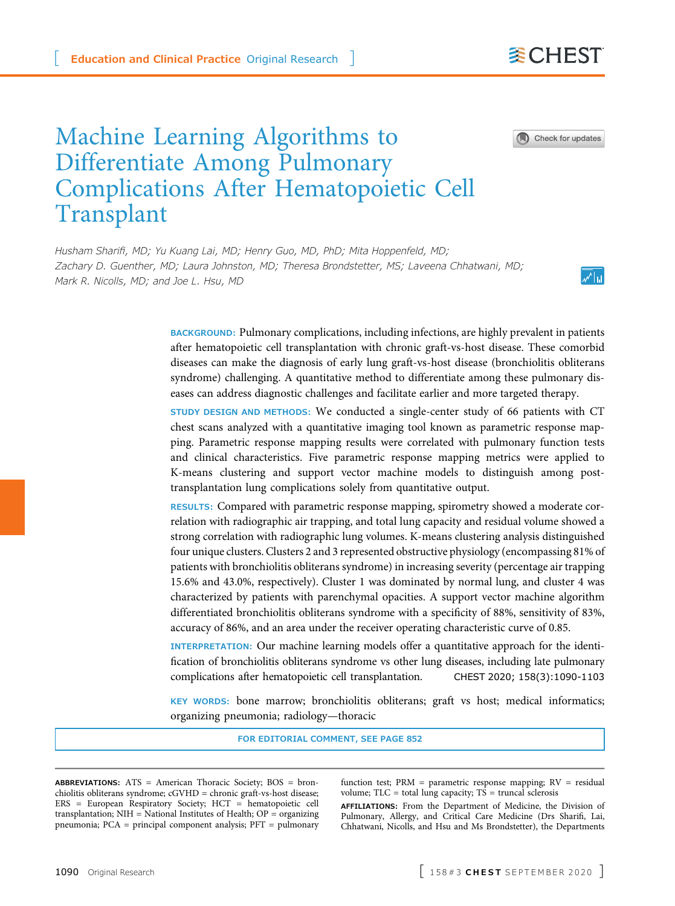#### (k) Check for updates

# Machine Learning Algorithms to Differentiate Among Pulmonary Complications After Hematopoietic Cell Transplant

Husham Sharifi, MD; Yu Kuang Lai, MD; Henry Guo, MD, PhD; Mita Hoppenfeld, MD; Zachary D. Guenther, MD; Laura Johnston, MD; Theresa Brondstetter, MS; Laveena Chhatwani, MD; Mark R. Nicolls, MD; and Joe L. Hsu, MD



BACKGROUND: Pulmonary complications, including infections, are highly prevalent in patients after hematopoietic cell transplantation with chronic graft-vs-host disease. These comorbid diseases can make the diagnosis of early lung graft-vs-host disease (bronchiolitis obliterans syndrome) challenging. A quantitative method to differentiate among these pulmonary diseases can address diagnostic challenges and facilitate earlier and more targeted therapy.

STUDY DESIGN AND METHODS: We conducted a single-center study of 66 patients with CT chest scans analyzed with a quantitative imaging tool known as parametric response mapping. Parametric response mapping results were correlated with pulmonary function tests and clinical characteristics. Five parametric response mapping metrics were applied to K-means clustering and support vector machine models to distinguish among posttransplantation lung complications solely from quantitative output.

RESULTS: Compared with parametric response mapping, spirometry showed a moderate correlation with radiographic air trapping, and total lung capacity and residual volume showed a strong correlation with radiographic lung volumes. K-means clustering analysis distinguished four unique clusters. Clusters 2 and 3 represented obstructive physiology (encompassing 81% of patients with bronchiolitis obliterans syndrome) in increasing severity (percentage air trapping 15.6% and 43.0%, respectively). Cluster 1 was dominated by normal lung, and cluster 4 was characterized by patients with parenchymal opacities. A support vector machine algorithm differentiated bronchiolitis obliterans syndrome with a specificity of 88%, sensitivity of 83%, accuracy of 86%, and an area under the receiver operating characteristic curve of 0.85.

INTERPRETATION: Our machine learning models offer a quantitative approach for the identification of bronchiolitis obliterans syndrome vs other lung diseases, including late pulmonary complications after hematopoietic cell transplantation. CHEST 2020; 158(3):1090-1103

KEY WORDS: bone marrow; bronchiolitis obliterans; graft vs host; medical informatics; organizing pneumonia; radiology—thoracic

FOR EDITORIAL COMMENT, SEE PAGE 852

ABBREVIATIONS: ATS = American Thoracic Society; BOS = bronchiolitis obliterans syndrome; cGVHD = chronic graft-vs-host disease; ERS = European Respiratory Society; HCT = hematopoietic cell transplantation; NIH = National Institutes of Health; OP = organizing pneumonia; PCA = principal component analysis; PFT = pulmonary function test; PRM = parametric response mapping; RV = residual volume; TLC = total lung capacity; TS = truncal sclerosis

AFFILIATIONS: From the Department of Medicine, the Division of Pulmonary, Allergy, and Critical Care Medicine (Drs Sharifi, Lai, Chhatwani, Nicolls, and Hsu and Ms Brondstetter), the Departments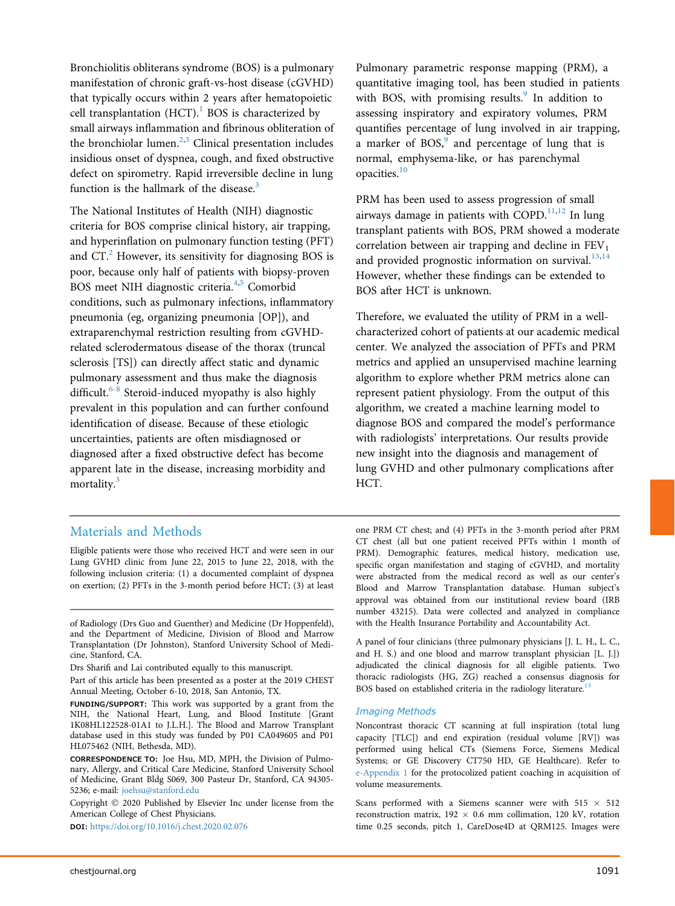Bronchiolitis obliterans syndrome (BOS) is a pulmonary manifestation of chronic graft-vs-host disease (cGVHD) that typically occurs within 2 years after hematopoietic cell transplantation  $(HCT)^{1}$  $(HCT)^{1}$  $(HCT)^{1}$  BOS is characterized by small airways inflammation and fibrinous obliteration of the bronchiolar lumen. $2,3$  $2,3$  Clinical presentation includes insidious onset of dyspnea, cough, and fixed obstructive defect on spirometry. Rapid irreversible decline in lung function is the hallmark of the disease.<sup>[3](#page-12-2)</sup>

The National Institutes of Health (NIH) diagnostic criteria for BOS comprise clinical history, air trapping, and hyperinflation on pulmonary function testing (PFT) and  $CT<sup>2</sup>$  $CT<sup>2</sup>$  $CT<sup>2</sup>$  However, its sensitivity for diagnosing BOS is poor, because only half of patients with biopsy-proven BOS meet NIH diagnostic criteria.<sup>[4](#page-12-3),[5](#page-12-4)</sup> Comorbid conditions, such as pulmonary infections, inflammatory pneumonia (eg, organizing pneumonia [OP]), and extraparenchymal restriction resulting from cGVHDrelated sclerodermatous disease of the thorax (truncal sclerosis [TS]) can directly affect static and dynamic pulmonary assessment and thus make the diagnosis difficult.<sup>[6-8](#page-12-5)</sup> Steroid-induced myopathy is also highly prevalent in this population and can further confound identification of disease. Because of these etiologic uncertainties, patients are often misdiagnosed or diagnosed after a fixed obstructive defect has become apparent late in the disease, increasing morbidity and mortality.<sup>[3](#page-12-2)</sup>

Pulmonary parametric response mapping (PRM), a quantitative imaging tool, has been studied in patients with BOS, with promising results. $9 \text{ In addition to }$  $9 \text{ In addition to }$ assessing inspiratory and expiratory volumes, PRM quantifies percentage of lung involved in air trapping, a marker of BOS, $9$  and percentage of lung that is normal, emphysema-like, or has parenchymal opacities.[10](#page-12-7)

PRM has been used to assess progression of small airways damage in patients with COPD.<sup>[11](#page-12-8),[12](#page-13-0)</sup> In lung transplant patients with BOS, PRM showed a moderate correlation between air trapping and decline in  $FEV<sub>1</sub>$ and provided prognostic information on survival. $^{13,14}$  $^{13,14}$  $^{13,14}$  $^{13,14}$ However, whether these findings can be extended to BOS after HCT is unknown.

Therefore, we evaluated the utility of PRM in a wellcharacterized cohort of patients at our academic medical center. We analyzed the association of PFTs and PRM metrics and applied an unsupervised machine learning algorithm to explore whether PRM metrics alone can represent patient physiology. From the output of this algorithm, we created a machine learning model to diagnose BOS and compared the model's performance with radiologists' interpretations. Our results provide new insight into the diagnosis and management of lung GVHD and other pulmonary complications after HCT.

# Materials and Methods

Eligible patients were those who received HCT and were seen in our Lung GVHD clinic from June 22, 2015 to June 22, 2018, with the following inclusion criteria: (1) a documented complaint of dyspnea on exertion; (2) PFTs in the 3-month period before HCT; (3) at least

DOI: <https://doi.org/10.1016/j.chest.2020.02.076>

one PRM CT chest; and (4) PFTs in the 3-month period after PRM CT chest (all but one patient received PFTs within 1 month of PRM). Demographic features, medical history, medication use, specific organ manifestation and staging of cGVHD, and mortality were abstracted from the medical record as well as our center's Blood and Marrow Transplantation database. Human subject's approval was obtained from our institutional review board (IRB number 43215). Data were collected and analyzed in compliance with the Health Insurance Portability and Accountability Act.

A panel of four clinicians (three pulmonary physicians [J. L. H., L. C., and H. S.) and one blood and marrow transplant physician [L. J.]) adjudicated the clinical diagnosis for all eligible patients. Two thoracic radiologists (HG, ZG) reached a consensus diagnosis for BOS based on established criteria in the radiology literature.<sup>1</sup>

#### Imaging Methods

Noncontrast thoracic CT scanning at full inspiration (total lung capacity [TLC]) and end expiration (residual volume [RV]) was performed using helical CTs (Siemens Force, Siemens Medical Systems; or GE Discovery CT750 HD, GE Healthcare). Refer to e-Appendix 1 for the protocolized patient coaching in acquisition of volume measurements.

Scans performed with a Siemens scanner were with  $515 \times 512$ reconstruction matrix,  $192 \times 0.6$  mm collimation, 120 kV, rotation time 0.25 seconds, pitch 1, CareDose4D at QRM125. Images were

of Radiology (Drs Guo and Guenther) and Medicine (Dr Hoppenfeld), and the Department of Medicine, Division of Blood and Marrow Transplantation (Dr Johnston), Stanford University School of Medicine, Stanford, CA.

Drs Sharifi and Lai contributed equally to this manuscript.

Part of this article has been presented as a poster at the 2019 CHEST Annual Meeting, October 6-10, 2018, San Antonio, TX.

FUNDING/SUPPORT: This work was supported by a grant from the NIH, the National Heart, Lung, and Blood Institute [Grant 1K08HL122528-01A1 to J.L.H.]. The Blood and Marrow Transplant database used in this study was funded by P01 CA049605 and P01 HL075462 (NIH, Bethesda, MD).

CORRESPONDENCE TO: Joe Hsu, MD, MPH, the Division of Pulmonary, Allergy, and Critical Care Medicine, Stanford University School of Medicine, Grant Bldg S069, 300 Pasteur Dr, Stanford, CA 94305- 5236; e-mail: [joehsu@stanford.edu](mailto:joehsu@stanford.edu)

Copyright  $@$  2020 Published by Elsevier Inc under license from the American College of Chest Physicians.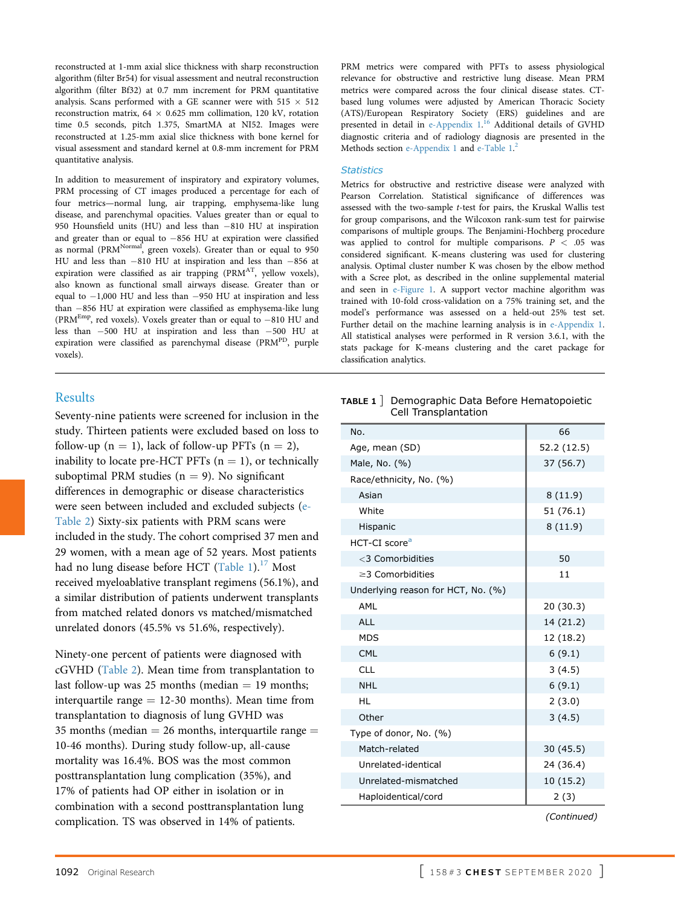reconstructed at 1-mm axial slice thickness with sharp reconstruction algorithm (filter Br54) for visual assessment and neutral reconstruction algorithm (filter Bf32) at 0.7 mm increment for PRM quantitative analysis. Scans performed with a GE scanner were with  $515 \times 512$ reconstruction matrix, 64  $\times$  0.625 mm collimation, 120 kV, rotation time 0.5 seconds, pitch 1.375, SmartMA at NI52. Images were reconstructed at 1.25-mm axial slice thickness with bone kernel for visual assessment and standard kernel at 0.8-mm increment for PRM quantitative analysis.

In addition to measurement of inspiratory and expiratory volumes, PRM processing of CT images produced a percentage for each of four metrics—normal lung, air trapping, emphysema-like lung disease, and parenchymal opacities. Values greater than or equal to 950 Hounsfield units (HU) and less than  $-810$  HU at inspiration and greater than or equal to  $-856$  HU at expiration were classified as normal (PRM<sup>Normal</sup>, green voxels). Greater than or equal to 950 HU and less than  $-810$  HU at inspiration and less than  $-856$  at expiration were classified as air trapping (PRMAT, yellow voxels), also known as functional small airways disease. Greater than or equal to  $-1,000$  HU and less than  $-950$  HU at inspiration and less than  $-856$  HU at expiration were classified as emphysema-like lung (PRM<sup>Emp</sup>, red voxels). Voxels greater than or equal to  $-810$  HU and less than 500 HU at inspiration and less than 500 HU at expiration were classified as parenchymal disease (PRM<sup>PD</sup>, purple voxels).

## Results

Seventy-nine patients were screened for inclusion in the study. Thirteen patients were excluded based on loss to follow-up ( $n = 1$ ), lack of follow-up PFTs ( $n = 2$ ), inability to locate pre-HCT PFTs  $(n = 1)$ , or technically suboptimal PRM studies  $(n = 9)$ . No significant differences in demographic or disease characteristics were seen between included and excluded subjects (e-Table 2) Sixty-six patients with PRM scans were included in the study. The cohort comprised 37 men and 29 women, with a mean age of 52 years. Most patients had no lung disease before HCT ([Table 1](#page-2-0)).<sup>[17](#page-13-5)</sup> Most received myeloablative transplant regimens (56.1%), and a similar distribution of patients underwent transplants from matched related donors vs matched/mismatched unrelated donors (45.5% vs 51.6%, respectively).

Ninety-one percent of patients were diagnosed with cGVHD ([Table 2\)](#page-3-0). Mean time from transplantation to last follow-up was 25 months (median  $= 19$  months; interquartile range  $= 12-30$  months). Mean time from transplantation to diagnosis of lung GVHD was 35 months (median  $=$  26 months, interquartile range  $=$ 10-46 months). During study follow-up, all-cause mortality was 16.4%. BOS was the most common posttransplantation lung complication (35%), and 17% of patients had OP either in isolation or in combination with a second posttransplantation lung complication. TS was observed in 14% of patients.

PRM metrics were compared with PFTs to assess physiological relevance for obstructive and restrictive lung disease. Mean PRM metrics were compared across the four clinical disease states. CTbased lung volumes were adjusted by American Thoracic Society (ATS)/European Respiratory Society (ERS) guidelines and are presented in detail in e-Appendix 1.<sup>[16](#page-13-4)</sup> Additional details of GVHD diagnostic criteria and of radiology diagnosis are presented in the Methods section e-Appendix 1 and e-Table 1.<sup>[2](#page-12-1)</sup>

#### **Statistics**

Metrics for obstructive and restrictive disease were analyzed with Pearson Correlation. Statistical significance of differences was assessed with the two-sample t-test for pairs, the Kruskal Wallis test for group comparisons, and the Wilcoxon rank-sum test for pairwise comparisons of multiple groups. The Benjamini-Hochberg procedure was applied to control for multiple comparisons.  $P < .05$  was considered significant. K-means clustering was used for clustering analysis. Optimal cluster number K was chosen by the elbow method with a Scree plot, as described in the online supplemental material and seen in e-Figure 1. A support vector machine algorithm was trained with 10-fold cross-validation on a 75% training set, and the model's performance was assessed on a held-out 25% test set. Further detail on the machine learning analysis is in e-Appendix 1. All statistical analyses were performed in R version 3.6.1, with the stats package for K-means clustering and the caret package for classification analytics.

<span id="page-2-0"></span>

| TABLE 1 Demographic Data Before Hematopoietic |
|-----------------------------------------------|
| Cell Transplantation                          |

| No.                                | 66          |
|------------------------------------|-------------|
| Age, mean (SD)                     | 52.2 (12.5) |
| Male, No. (%)                      | 37 (56.7)   |
| Race/ethnicity, No. (%)            |             |
| Asian                              | 8(11.9)     |
| White                              | 51(76.1)    |
| Hispanic                           | 8(11.9)     |
| HCT-CI score <sup>a</sup>          |             |
| <3 Comorbidities                   | 50          |
| $\geq$ 3 Comorbidities             | 11          |
| Underlying reason for HCT, No. (%) |             |
| AML                                | 20 (30.3)   |
| <b>ALL</b>                         | 14 (21.2)   |
| <b>MDS</b>                         | 12 (18.2)   |
| CML                                | 6(9.1)      |
| <b>CLL</b>                         | 3(4.5)      |
| <b>NHL</b>                         | 6(9.1)      |
| HL                                 | 2(3.0)      |
| Other                              | 3(4.5)      |
| Type of donor, No. (%)             |             |
| Match-related                      | 30(45.5)    |
| Unrelated-identical                | 24 (36.4)   |
| Unrelated-mismatched               | 10(15.2)    |
| Haploidentical/cord                | 2(3)        |

(Continued)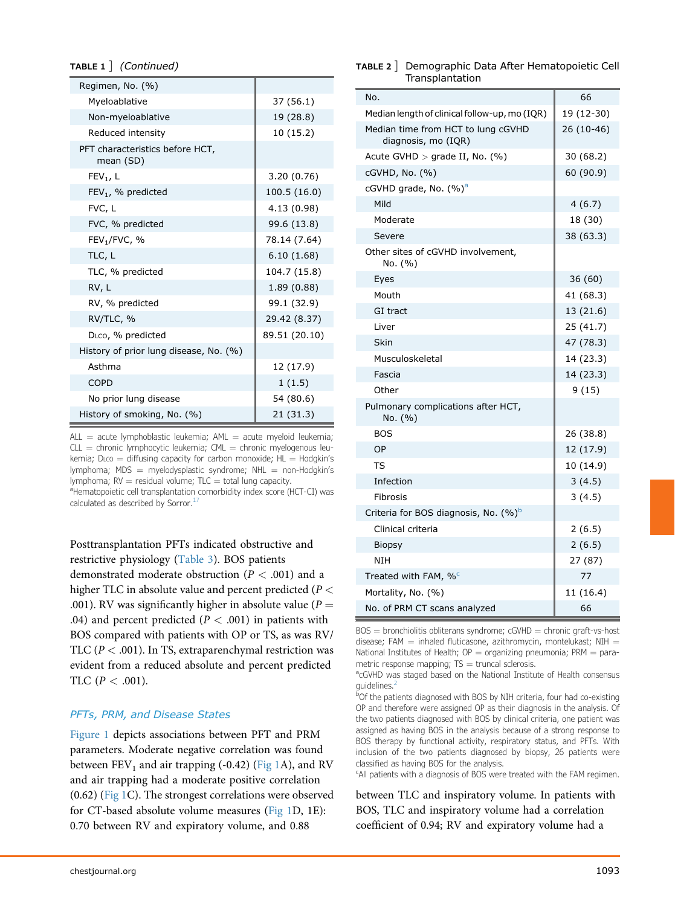TABLE 1 | (Continued)

| Regimen, No. (%)                             |               |
|----------------------------------------------|---------------|
| Myeloablative                                | 37 (56.1)     |
| Non-myeloablative                            | 19 (28.8)     |
| Reduced intensity                            | 10(15.2)      |
| PFT characteristics before HCT,<br>mean (SD) |               |
| $FEV_1$ , L                                  | 3.20(0.76)    |
| $FEV1$ , % predicted                         | 100.5(16.0)   |
| FVC, L                                       | 4.13 (0.98)   |
| FVC, % predicted                             | 99.6 (13.8)   |
| FEV <sub>1</sub> /FVC, %                     | 78.14 (7.64)  |
| TLC, L                                       | 6.10(1.68)    |
| TLC, % predicted                             | 104.7 (15.8)  |
| RV, L                                        | 1.89(0.88)    |
| RV, % predicted                              | 99.1 (32.9)   |
| RV/TLC, %                                    | 29.42 (8.37)  |
| D <sub>LCO</sub> , % predicted               | 89.51 (20.10) |
| History of prior lung disease, No. (%)       |               |
| Asthma                                       | 12 (17.9)     |
| <b>COPD</b>                                  | 1(1.5)        |
| No prior lung disease                        | 54 (80.6)     |
| History of smoking, No. (%)                  | 21 (31.3)     |

ALL = acute lymphoblastic leukemia;  $AML$  = acute myeloid leukemia;  $CL =$  chronic lymphocytic leukemia;  $CML =$  chronic myelogenous leukemia; DLco = diffusing capacity for carbon monoxide;  $HL = H$ odgkin's lymphoma;  $MDS = mye$ lodysplastic syndrome;  $NHL = non-Hodgkin's$ lymphoma;  $RV =$  residual volume;  $TLC =$  total lung capacity. <sup>a</sup>Hematopoietic cell transplantation comorbidity index score (HCT-CI) was

<span id="page-3-1"></span>calculated as described by Sorror. $^{17}$  $^{17}$  $^{17}$ 

Posttransplantation PFTs indicated obstructive and restrictive physiology ([Table 3](#page-4-0)). BOS patients demonstrated moderate obstruction ( $P < .001$ ) and a higher TLC in absolute value and percent predicted ( $P <$ .001). RV was significantly higher in absolute value ( $P =$ .04) and percent predicted ( $P < .001$ ) in patients with BOS compared with patients with OP or TS, as was RV/ TLC ( $P < .001$ ). In TS, extraparenchymal restriction was evident from a reduced absolute and percent predicted TLC  $(P < .001)$ .

## PFTs, PRM, and Disease States

[Figure 1](#page-4-1) depicts associations between PFT and PRM parameters. Moderate negative correlation was found between  $FEV<sub>1</sub>$  and air trapping (-0.42) [\(Fig 1](#page-4-1)A), and RV and air trapping had a moderate positive correlation (0.62) ([Fig 1](#page-4-1)C). The strongest correlations were observed for CT-based absolute volume measures [\(Fig 1D](#page-4-1), 1E): 0.70 between RV and expiratory volume, and 0.88

#### <span id="page-3-0"></span>TABLE 2 ] Demographic Data After Hematopoietic Cell **Transplantation**

| up.uu                                                     |            |
|-----------------------------------------------------------|------------|
| No.                                                       | 66         |
| Median length of clinical follow-up, mo (IQR)             | 19 (12-30) |
| Median time from HCT to lung cGVHD<br>diagnosis, mo (IQR) | 26 (10-46) |
| Acute GVHD $>$ grade II, No. (%)                          | 30 (68.2)  |
| cGVHD, No. (%)                                            | 60 (90.9)  |
| cGVHD grade, No. (%) <sup>a</sup>                         |            |
| Mild                                                      | 4(6.7)     |
| Moderate                                                  | 18 (30)    |
| Severe                                                    | 38 (63.3)  |
| Other sites of cGVHD involvement,<br>No. (%)              |            |
| Eyes                                                      | 36 (60)    |
| Mouth                                                     | 41 (68.3)  |
| GI tract                                                  | 13 (21.6)  |
| Liver                                                     | 25 (41.7)  |
| Skin                                                      | 47 (78.3)  |
| Musculoskeletal                                           | 14 (23.3)  |
| Fascia                                                    | 14 (23.3)  |
| Other                                                     | 9 (15)     |
| Pulmonary complications after HCT,<br>No. (%)             |            |
| <b>BOS</b>                                                | 26 (38.8)  |
| ΟP                                                        | 12 (17.9)  |
| TS                                                        | 10 (14.9)  |
| Infection                                                 | 3(4.5)     |
| Fibrosis                                                  | 3(4.5)     |
| Criteria for BOS diagnosis, No. (%) <sup>b</sup>          |            |
| Clinical criteria                                         | 2(6.5)     |
| Biopsy                                                    | 2(6.5)     |
| <b>NIH</b>                                                | 27 (87)    |
| Treated with FAM, % <sup>c</sup>                          | 77         |
| Mortality, No. (%)                                        | 11 (16.4)  |
| No. of PRM CT scans analyzed                              | 66         |

 $BOS =$  bronchiolitis obliterans syndrome; cGVHD  $=$  chronic graft-vs-host disease; FAM  $=$  inhaled fluticasone, azithromycin, montelukast; NIH  $=$ National Institutes of Health;  $OP =$  organizing pneumonia;  $PRM =$  parametric response mapping;  $TS =$  truncal sclerosis.

<span id="page-3-2"></span><sup>a</sup>cGVHD was staged based on the National Institute of Health consensus guidelines.<sup>[2](#page-12-1)</sup>

<span id="page-3-3"></span><sup>b</sup>Of the patients diagnosed with BOS by NIH criteria, four had co-existing OP and therefore were assigned OP as their diagnosis in the analysis. Of the two patients diagnosed with BOS by clinical criteria, one patient was assigned as having BOS in the analysis because of a strong response to BOS therapy by functional activity, respiratory status, and PFTs. With inclusion of the two patients diagnosed by biopsy, 26 patients were classified as having BOS for the analysis.

<span id="page-3-4"></span><sup>c</sup>All patients with a diagnosis of BOS were treated with the FAM regimen.

between TLC and inspiratory volume. In patients with BOS, TLC and inspiratory volume had a correlation coefficient of 0.94; RV and expiratory volume had a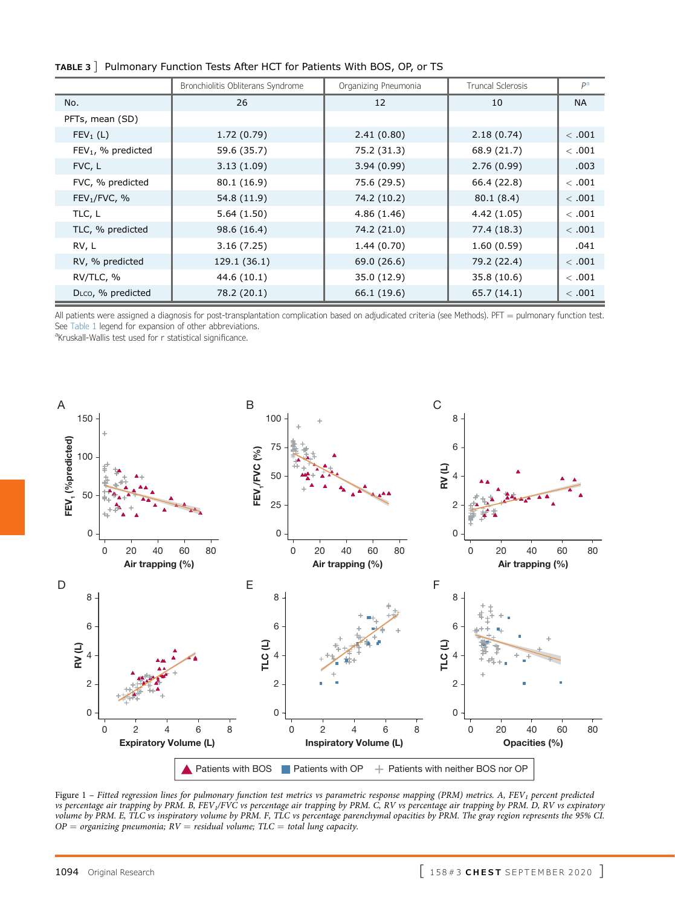|                                | Bronchiolitis Obliterans Syndrome | Organizing Pneumonia | Truncal Sclerosis | $P^a$     |
|--------------------------------|-----------------------------------|----------------------|-------------------|-----------|
| No.                            | 26                                | 12                   | 10                | <b>NA</b> |
| PFTs, mean (SD)                |                                   |                      |                   |           |
| $FEV_1(L)$                     | 1.72(0.79)                        | 2.41(0.80)           | 2.18(0.74)        | <.001     |
| FEV <sub>1</sub> , % predicted | 59.6 (35.7)                       | 75.2 (31.3)          | 68.9 (21.7)       | <.001     |
| FVC, L                         | 3.13(1.09)                        | 3.94(0.99)           | 2.76(0.99)        | .003      |
| FVC, % predicted               | 80.1 (16.9)                       | 75.6 (29.5)          | 66.4 (22.8)       | <.001     |
| FEV <sub>1</sub> /FVC, %       | 54.8 (11.9)                       | 74.2 (10.2)          | 80.1(8.4)         | <.001     |
| TLC, L                         | 5.64(1.50)                        | 4.86(1.46)           | 4.42(1.05)        | <.001     |
| TLC, % predicted               | 98.6 (16.4)                       | 74.2 (21.0)          | 77.4 (18.3)       | <.001     |
| RV, L                          | 3.16(7.25)                        | 1.44(0.70)           | 1.60(0.59)        | .041      |
| RV, % predicted                | 129.1 (36.1)                      | 69.0 (26.6)          | 79.2 (22.4)       | <.001     |
| RV/TLC, %                      | 44.6 (10.1)                       | 35.0 (12.9)          | 35.8 (10.6)       | <.001     |
| D <sub>LCO</sub> , % predicted | 78.2 (20.1)                       | 66.1 (19.6)          | 65.7(14.1)        | <.001     |

<span id="page-4-0"></span>TABLE 3 ] Pulmonary Function Tests After HCT for Patients With BOS, OP, or TS

All patients were assigned a diagnosis for post-transplantation complication based on adjudicated criteria (see Methods). PFT = pulmonary function test. See [Table 1](#page-2-0) legend for expansion of other abbreviations.

<span id="page-4-2"></span><sup>a</sup>Kruskall-Wallis test used for r statistical significance.

<span id="page-4-1"></span>

Figure 1 - Fitted regression lines for pulmonary function test metrics vs parametric response mapping (PRM) metrics. A, FEV<sub>1</sub> percent predicted vs percentage air trapping by PRM. B, FEV1/FVC vs percentage air trapping by PRM. C, RV vs percentage air trapping by PRM. D, RV vs expiratory volume by PRM. E, TLC vs inspiratory volume by PRM. F, TLC vs percentage parenchymal opacities by PRM. The gray region represents the 95% CI.  $OP =$  organizing pneumonia;  $RV =$  residual volume;  $TLC =$  total lung capacity.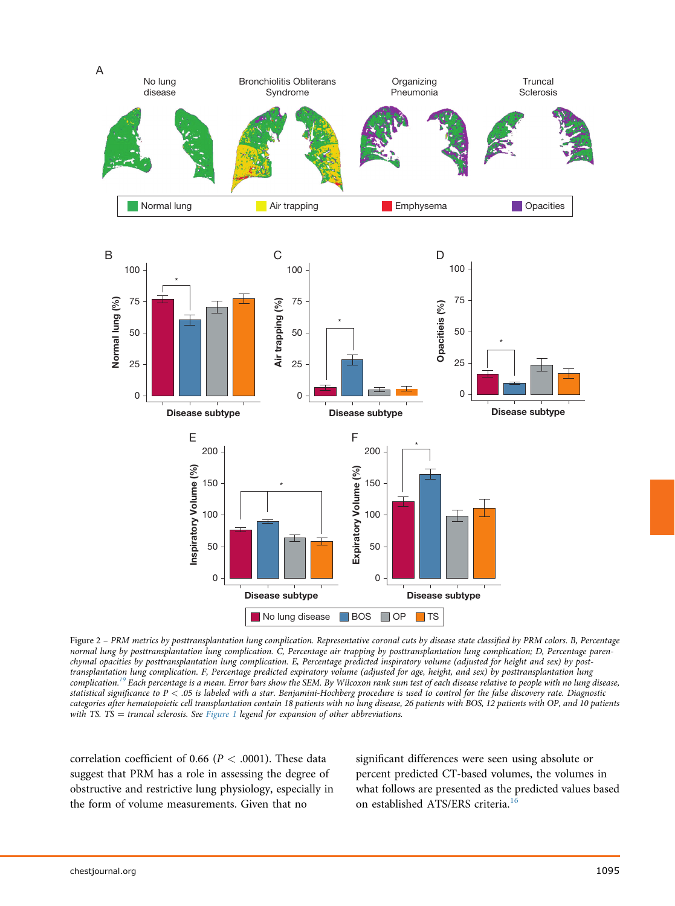<span id="page-5-0"></span>

Figure 2 – PRM metrics by posttransplantation lung complication. Representative coronal cuts by disease state classified by PRM colors. B, Percentage normal lung by posttransplantation lung complication. C, Percentage air trapping by posttransplantation lung complication; D, Percentage parenchymal opacities by posttransplantation lung complication. E, Percentage predicted inspiratory volume (adjusted for height and sex) by posttransplantation lung complication. F, Percentage predicted expiratory volume (adjusted for age, height, and sex) by posttransplantation lung complication.<sup>[19](#page-13-6)</sup> Each percentage is a mean. Error bars show the SEM. By Wilcoxon rank sum test of each disease relative to people with no lung disease, statistical significance to P < .05 is labeled with a star. Benjamini-Hochberg procedure is used to control for the false discovery rate. Diagnostic categories after hematopoietic cell transplantation contain 18 patients with no lung disease, 26 patients with BOS, 12 patients with OP, and 10 patients with TS. TS = truncal sclerosis. See [Figure 1](#page-4-1) legend for expansion of other abbreviations.

correlation coefficient of 0.66 ( $P < .0001$ ). These data suggest that PRM has a role in assessing the degree of obstructive and restrictive lung physiology, especially in the form of volume measurements. Given that no

significant differences were seen using absolute or percent predicted CT-based volumes, the volumes in what follows are presented as the predicted values based on established ATS/ERS criteria.<sup>[16](#page-13-4)</sup>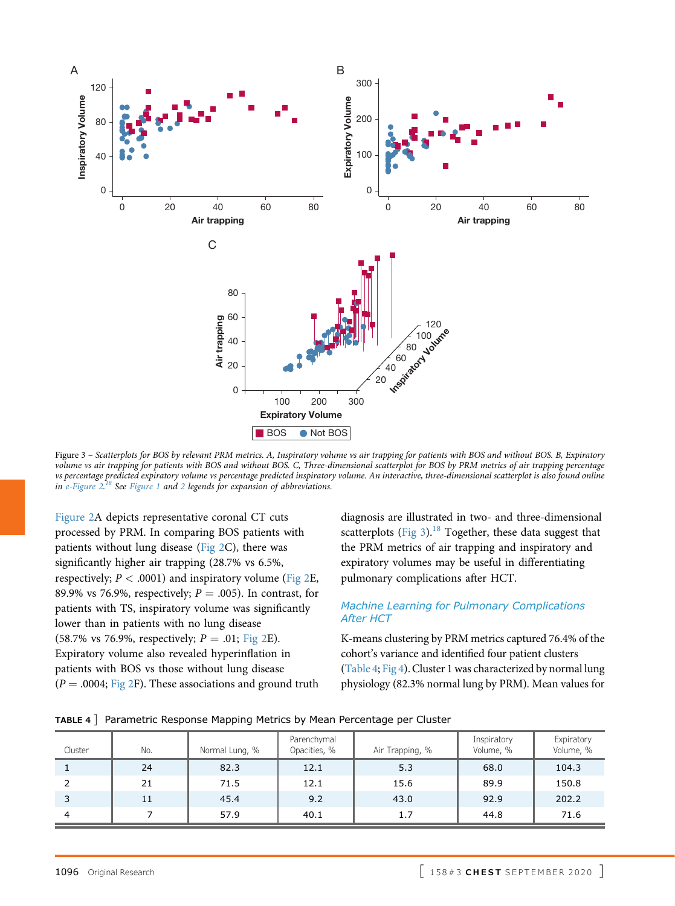<span id="page-6-0"></span>

Figure 3 – Scatterplots for BOS by relevant PRM metrics. A, Inspiratory volume vs air trapping for patients with BOS and without BOS. B, Expiratory volume vs air trapping for patients with BOS and without BOS. C, Three-dimensional scatterplot for BOS by PRM metrics of air trapping percentage vs percentage predicted expiratory volume vs percentage predicted inspiratory volume. An interactive, three-dimensional scatterplot is also found online in e-Figure 2.<sup>[18](#page-13-7)</sup> See [Figure 1](#page-4-1) and [2](#page-5-0) legends for expansion of abbreviations.

[Figure 2](#page-5-0)A depicts representative coronal CT cuts processed by PRM. In comparing BOS patients with patients without lung disease [\(Fig 2C](#page-5-0)), there was significantly higher air trapping (28.7% vs 6.5%, respectively;  $P < .0001$ ) and inspiratory volume [\(Fig 2](#page-5-0)E, 89.9% vs 76.9%, respectively;  $P = .005$ ). In contrast, for patients with TS, inspiratory volume was significantly lower than in patients with no lung disease (58.7% vs 76.9%, respectively;  $P = .01$ ; [Fig 2](#page-5-0)E). Expiratory volume also revealed hyperinflation in patients with BOS vs those without lung disease  $(P = .0004; Fig 2F)$  $(P = .0004; Fig 2F)$  $(P = .0004; Fig 2F)$ . These associations and ground truth

diagnosis are illustrated in two- and three-dimensional scatterplots (Fig  $3$ ).<sup>[18](#page-13-7)</sup> Together, these data suggest that the PRM metrics of air trapping and inspiratory and expiratory volumes may be useful in differentiating pulmonary complications after HCT.

## Machine Learning for Pulmonary Complications After HCT

K-means clustering by PRM metrics captured 76.4% of the cohort's variance and identified four patient clusters [\(Table 4](#page-6-1); [Fig 4\)](#page-7-0). Cluster 1 was characterized by normal lung physiology (82.3% normal lung by PRM). Mean values for

| Cluster | No. | Normal Lung, % | Parenchymal<br>Opacities, % | Air Trapping, % | Inspiratory<br>Volume, % | Expiratory<br>Volume, % |
|---------|-----|----------------|-----------------------------|-----------------|--------------------------|-------------------------|
|         | 24  | 82.3           | 12.1                        | 5.3             | 68.0                     | 104.3                   |
|         | 21  | 71.5           | 12.1                        | 15.6            | 89.9                     | 150.8                   |
| 3       | 11  | 45.4           | 9.2                         | 43.0            | 92.9                     | 202.2                   |
| 4       |     | 57.9           | 40.1                        | 1.7             | 44.8                     | 71.6                    |

<span id="page-6-1"></span>TABLE 4 ] Parametric Response Mapping Metrics by Mean Percentage per Cluster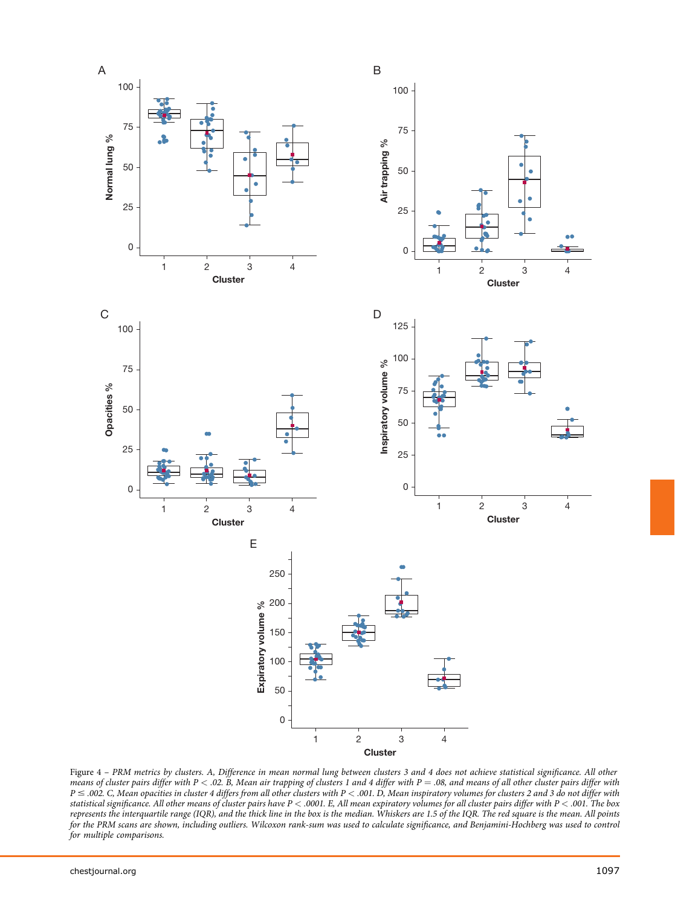<span id="page-7-0"></span>

Figure 4 – PRM metrics by clusters. A, Difference in mean normal lung between clusters 3 and 4 does not achieve statistical significance. All other means of cluster pairs differ with  $P < .02$ . B, Mean air trapping of clusters 1 and 4 differ with  $P = .08$ , and means of all other cluster pairs differ with  $P \leq .002$ . C, Mean opacities in cluster 4 differs from all other clusters with  $P < .001$ . D, Mean inspiratory volumes for clusters 2 and 3 do not differ with statistical significance. All other means of cluster pairs have P < .0001. E, All mean expiratory volumes for all cluster pairs differ with P < .001. The box represents the interquartile range (IQR), and the thick line in the box is the median. Whiskers are 1.5 of the IQR. The red square is the mean. All points for the PRM scans are shown, including outliers. Wilcoxon rank-sum was used to calculate significance, and Benjamini-Hochberg was used to control for multiple comparisons.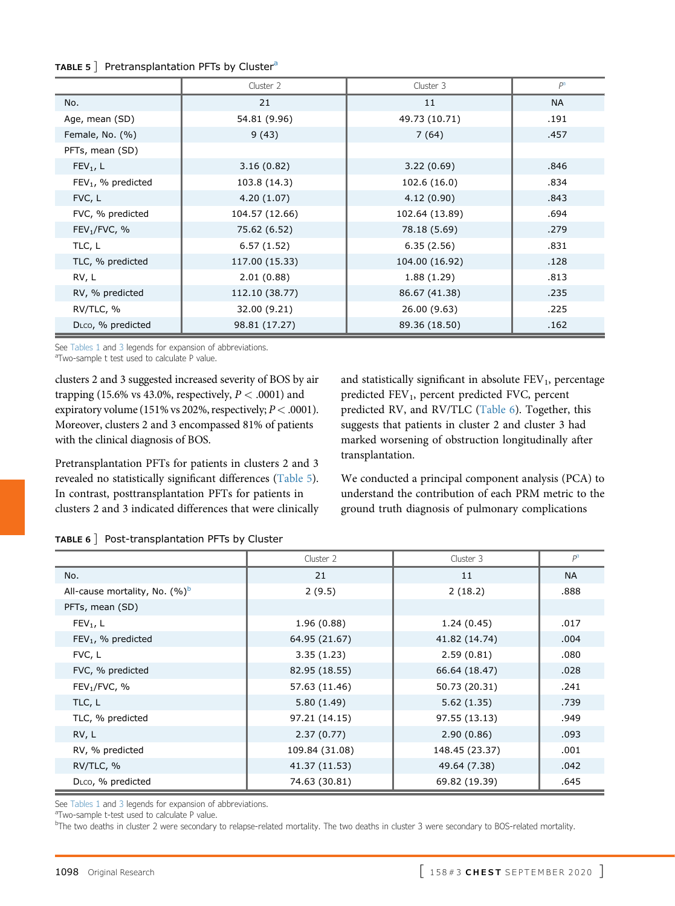<span id="page-8-0"></span>

| TABLE 5 ] Pretransplantation PFTs by Cluster <sup>a</sup> |  |
|-----------------------------------------------------------|--|
|                                                           |  |

|                          | Cluster 2      | Cluster 3      | $P^3$     |
|--------------------------|----------------|----------------|-----------|
| No.                      | 21             | 11             | <b>NA</b> |
| Age, mean (SD)           | 54.81 (9.96)   | 49.73 (10.71)  | .191      |
| Female, No. (%)          | 9(43)          | 7(64)          | .457      |
| PFTs, mean (SD)          |                |                |           |
| $FEV1$ , L               | 3.16(0.82)     | 3.22(0.69)     | .846      |
| $FEV1$ , % predicted     | 103.8 (14.3)   | 102.6 (16.0)   | .834      |
| FVC, L                   | 4.20(1.07)     | 4.12(0.90)     | .843      |
| FVC, % predicted         | 104.57 (12.66) | 102.64 (13.89) | .694      |
| FEV <sub>1</sub> /FVC, % | 75.62 (6.52)   | 78.18 (5.69)   | .279      |
| TLC, L                   | 6.57(1.52)     | 6.35(2.56)     | .831      |
| TLC, % predicted         | 117.00 (15.33) | 104.00 (16.92) | .128      |
| RV, L                    | 2.01(0.88)     | 1.88(1.29)     | .813      |
| RV, % predicted          | 112.10 (38.77) | 86.67 (41.38)  | .235      |
| RV/TLC, %                | 32.00 (9.21)   | 26.00 (9.63)   | .225      |
| DLCO, % predicted        | 98.81 (17.27)  | 89.36 (18.50)  | .162      |

<span id="page-8-4"></span>See [Tables 1](#page-2-0) and [3](#page-4-0) legends for expansion of abbreviations. <sup>a</sup>Two-sample t test used to calculate P value.

clusters 2 and 3 suggested increased severity of BOS by air trapping (15.6% vs 43.0%, respectively,  $P < .0001$ ) and expiratory volume (151% vs 202%, respectively;  $P < .0001$ ). Moreover, clusters 2 and 3 encompassed 81% of patients with the clinical diagnosis of BOS.

Pretransplantation PFTs for patients in clusters 2 and 3 revealed no statistically significant differences ([Table 5\)](#page-8-0). In contrast, posttransplantation PFTs for patients in clusters 2 and 3 indicated differences that were clinically and statistically significant in absolute  $FEV<sub>1</sub>$ , percentage predicted FEV<sub>1</sub>, percent predicted FVC, percent predicted RV, and RV/TLC ([Table 6\)](#page-8-1). Together, this suggests that patients in cluster 2 and cluster 3 had marked worsening of obstruction longitudinally after transplantation.

We conducted a principal component analysis (PCA) to understand the contribution of each PRM metric to the ground truth diagnosis of pulmonary complications

<span id="page-8-1"></span>

| TABLE 6   Post-transplantation PFTs by Cluster |  |  |
|------------------------------------------------|--|--|
|                                                |  |  |

|                                  | Cluster 2      | Cluster 3      | $P^3$     |
|----------------------------------|----------------|----------------|-----------|
| No.                              | 21             | 11             | <b>NA</b> |
| All-cause mortality, No. $(%)^b$ | 2(9.5)         | 2(18.2)        | .888      |
| PFTs, mean (SD)                  |                |                |           |
| $FEV_1$ , L                      | 1.96(0.88)     | 1.24(0.45)     | .017      |
| $FEV1$ , % predicted             | 64.95 (21.67)  | 41.82 (14.74)  | .004      |
| FVC, L                           | 3.35(1.23)     | 2.59(0.81)     | .080      |
| FVC, % predicted                 | 82.95 (18.55)  | 66.64 (18.47)  | .028      |
| FEV <sub>1</sub> /FVC, %         | 57.63 (11.46)  | 50.73 (20.31)  | .241      |
| TLC, L                           | 5.80(1.49)     | 5.62(1.35)     | .739      |
| TLC, % predicted                 | 97.21 (14.15)  | 97.55 (13.13)  | .949      |
| RV, L                            | 2.37(0.77)     | 2.90(0.86)     | .093      |
| RV, % predicted                  | 109.84 (31.08) | 148.45 (23.37) | .001      |
| RV/TLC, %                        | 41.37 (11.53)  | 49.64 (7.38)   | .042      |
| DLCO, % predicted                | 74.63 (30.81)  | 69.82 (19.39)  | .645      |

See [Tables 1](#page-2-0) and [3](#page-4-0) legends for expansion of abbreviations.

<span id="page-8-2"></span><sup>a</sup>Two-sample t-test used to calculate P value.

<span id="page-8-3"></span>bThe two deaths in cluster 2 were secondary to relapse-related mortality. The two deaths in cluster 3 were secondary to BOS-related mortality.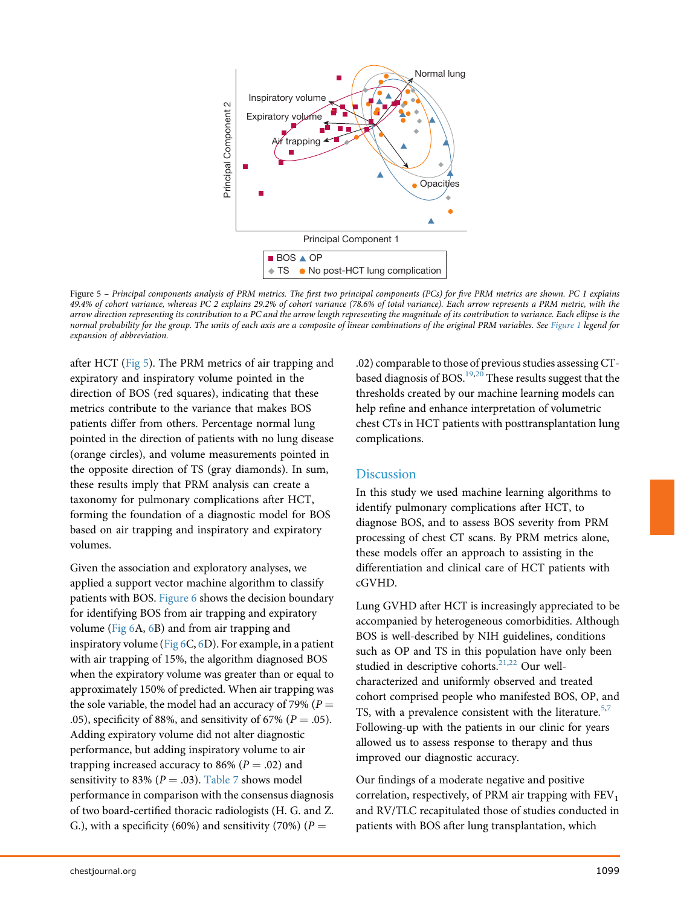<span id="page-9-0"></span>

Figure 5 – Principal components analysis of PRM metrics. The first two principal components (PCs) for five PRM metrics are shown. PC 1 explains 49.4% of cohort variance, whereas PC 2 explains 29.2% of cohort variance (78.6% of total variance). Each arrow represents a PRM metric, with the arrow direction representing its contribution to a PC and the arrow length representing the magnitude of its contribution to variance. Each ellipse is the normal probability for the group. The units of each axis are a composite of linear combinations of the original PRM variables. See [Figure 1](#page-4-1) legend for expansion of abbreviation.

after HCT [\(Fig 5\)](#page-9-0). The PRM metrics of air trapping and expiratory and inspiratory volume pointed in the direction of BOS (red squares), indicating that these metrics contribute to the variance that makes BOS patients differ from others. Percentage normal lung pointed in the direction of patients with no lung disease (orange circles), and volume measurements pointed in the opposite direction of TS (gray diamonds). In sum, these results imply that PRM analysis can create a taxonomy for pulmonary complications after HCT, forming the foundation of a diagnostic model for BOS based on air trapping and inspiratory and expiratory volumes.

Given the association and exploratory analyses, we applied a support vector machine algorithm to classify patients with BOS. [Figure 6](#page-10-0) shows the decision boundary for identifying BOS from air trapping and expiratory volume [\(Fig 6](#page-10-0)A, [6](#page-10-0)B) and from air trapping and inspiratory volume ([Fig 6C](#page-10-0), [6](#page-10-0)D). For example, in a patient with air trapping of 15%, the algorithm diagnosed BOS when the expiratory volume was greater than or equal to approximately 150% of predicted. When air trapping was the sole variable, the model had an accuracy of 79% ( $P =$ .05), specificity of 88%, and sensitivity of 67% ( $P = .05$ ). Adding expiratory volume did not alter diagnostic performance, but adding inspiratory volume to air trapping increased accuracy to 86% ( $P = .02$ ) and sensitivity to 83% ( $P = .03$ ). [Table 7](#page-11-0) shows model performance in comparison with the consensus diagnosis of two board-certified thoracic radiologists (H. G. and Z. G.), with a specificity (60%) and sensitivity (70%) ( $P =$ 

.02) comparable to those of previous studies assessing CTbased diagnosis of BOS. $19,20$  $19,20$  These results suggest that the thresholds created by our machine learning models can help refine and enhance interpretation of volumetric chest CTs in HCT patients with posttransplantation lung complications.

## Discussion

In this study we used machine learning algorithms to identify pulmonary complications after HCT, to diagnose BOS, and to assess BOS severity from PRM processing of chest CT scans. By PRM metrics alone, these models offer an approach to assisting in the differentiation and clinical care of HCT patients with cGVHD.

Lung GVHD after HCT is increasingly appreciated to be accompanied by heterogeneous comorbidities. Although BOS is well-described by NIH guidelines, conditions such as OP and TS in this population have only been studied in descriptive cohorts.<sup>[21](#page-13-9)[,22](#page-13-10)</sup> Our wellcharacterized and uniformly observed and treated cohort comprised people who manifested BOS, OP, and TS, with a prevalence consistent with the literature.<sup>[5](#page-12-4)[,7](#page-12-9)</sup> Following-up with the patients in our clinic for years allowed us to assess response to therapy and thus improved our diagnostic accuracy.

Our findings of a moderate negative and positive correlation, respectively, of PRM air trapping with  $FEV<sub>1</sub>$ and RV/TLC recapitulated those of studies conducted in patients with BOS after lung transplantation, which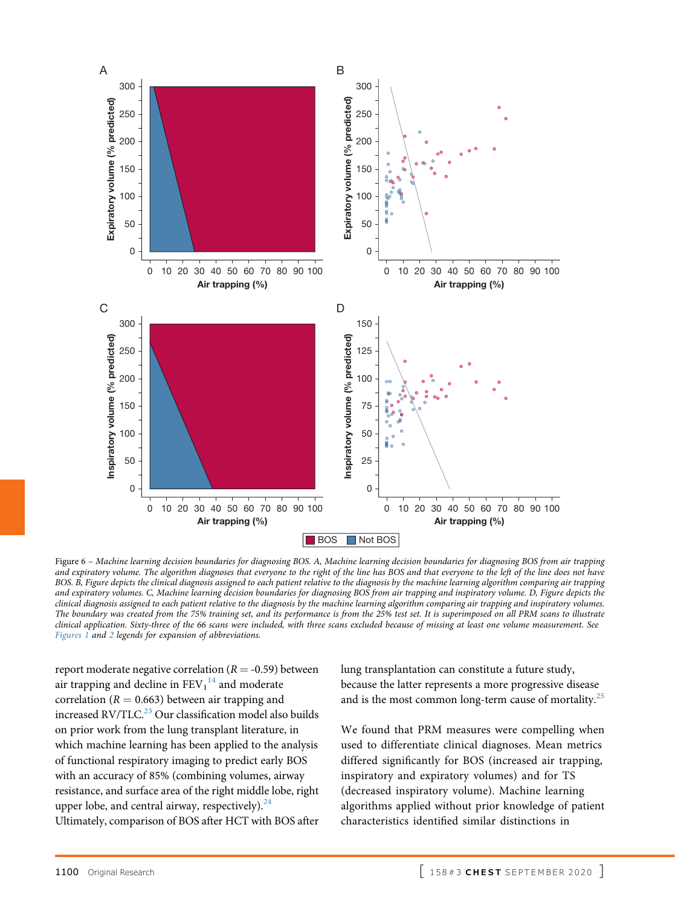<span id="page-10-0"></span>

Figure 6 – Machine learning decision boundaries for diagnosing BOS. A, Machine learning decision boundaries for diagnosing BOS from air trapping and expiratory volume. The algorithm diagnoses that everyone to the right of the line has BOS and that everyone to the left of the line does not have BOS. B, Figure depicts the clinical diagnosis assigned to each patient relative to the diagnosis by the machine learning algorithm comparing air trapping and expiratory volumes. C, Machine learning decision boundaries for diagnosing BOS from air trapping and inspiratory volume. D, Figure depicts the clinical diagnosis assigned to each patient relative to the diagnosis by the machine learning algorithm comparing air trapping and inspiratory volumes. The boundary was created from the 75% training set, and its performance is from the 25% test set. It is superimposed on all PRM scans to illustrate clinical application. Sixty-three of the 66 scans were included, with three scans excluded because of missing at least one volume measurement. See [Figures 1](#page-4-1) and [2](#page-5-0) legends for expansion of abbreviations.

report moderate negative correlation ( $R = -0.59$ ) between air trapping and decline in  $\mathrm{FEV_{1}}^{14}$  $\mathrm{FEV_{1}}^{14}$  $\mathrm{FEV_{1}}^{14}$  and moderate correlation ( $R = 0.663$ ) between air trapping and increased RV/TLC.<sup>[23](#page-13-11)</sup> Our classification model also builds on prior work from the lung transplant literature, in which machine learning has been applied to the analysis of functional respiratory imaging to predict early BOS with an accuracy of 85% (combining volumes, airway resistance, and surface area of the right middle lobe, right upper lobe, and central airway, respectively). $24$ Ultimately, comparison of BOS after HCT with BOS after lung transplantation can constitute a future study, because the latter represents a more progressive disease and is the most common long-term cause of mortality.<sup>[25](#page-13-13)</sup>

We found that PRM measures were compelling when used to differentiate clinical diagnoses. Mean metrics differed significantly for BOS (increased air trapping, inspiratory and expiratory volumes) and for TS (decreased inspiratory volume). Machine learning algorithms applied without prior knowledge of patient characteristics identified similar distinctions in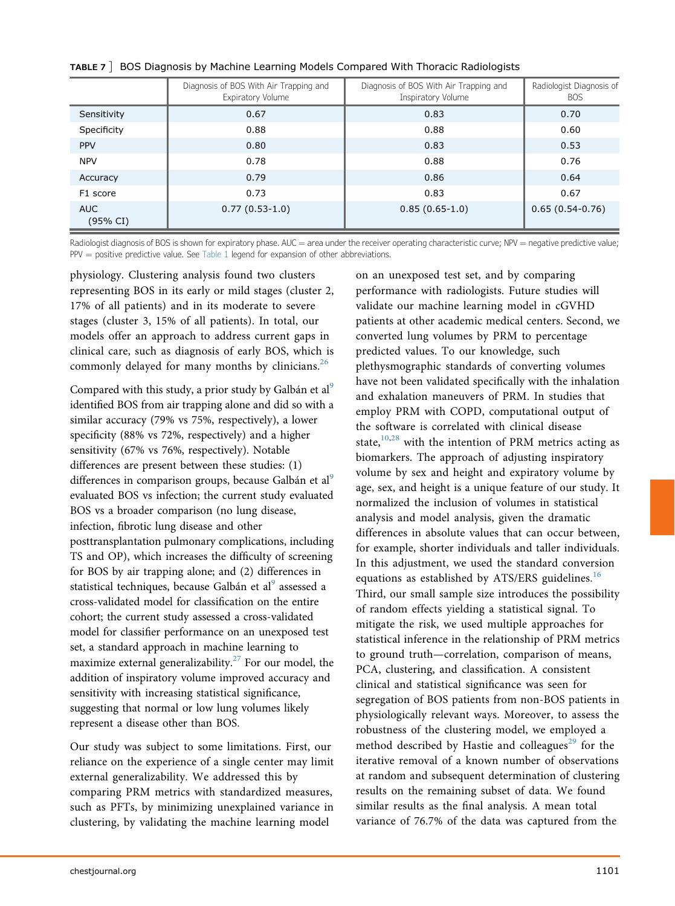|                 | Diagnosis of BOS With Air Trapping and<br>Expiratory Volume | Diagnosis of BOS With Air Trapping and<br>Inspiratory Volume | Radiologist Diagnosis of<br><b>BOS</b> |
|-----------------|-------------------------------------------------------------|--------------------------------------------------------------|----------------------------------------|
| Sensitivity     | 0.67                                                        | 0.83                                                         | 0.70                                   |
| Specificity     | 0.88                                                        | 0.88                                                         | 0.60                                   |
| <b>PPV</b>      | 0.80                                                        | 0.83                                                         | 0.53                                   |
| <b>NPV</b>      | 0.78                                                        | 0.88                                                         | 0.76                                   |
| Accuracy        | 0.79                                                        | 0.86                                                         | 0.64                                   |
| F1 score        | 0.73                                                        | 0.83                                                         | 0.67                                   |
| AUC<br>(95% CI) | $0.77(0.53-1.0)$                                            | $0.85(0.65-1.0)$                                             | $0.65(0.54-0.76)$                      |

## <span id="page-11-0"></span>TABLE 7 ] BOS Diagnosis by Machine Learning Models Compared With Thoracic Radiologists

Radiologist diagnosis of BOS is shown for expiratory phase. AUC = area under the receiver operating characteristic curve; NPV = negative predictive value;  $PPV =$  positive predictive value. See [Table 1](#page-2-0) legend for expansion of other abbreviations.

physiology. Clustering analysis found two clusters representing BOS in its early or mild stages (cluster 2, 17% of all patients) and in its moderate to severe stages (cluster 3, 15% of all patients). In total, our models offer an approach to address current gaps in clinical care, such as diagnosis of early BOS, which is commonly delayed for many months by clinicians. $^{26}$  $^{26}$  $^{26}$ 

Compared with this study, a prior study by Galbán et al<sup>[9](#page-12-6)</sup> identified BOS from air trapping alone and did so with a similar accuracy (79% vs 75%, respectively), a lower specificity (88% vs 72%, respectively) and a higher sensitivity (67% vs 76%, respectively). Notable differences are present between these studies: (1) differences in comparison groups, because Galbán et al<sup>[9](#page-12-6)</sup> evaluated BOS vs infection; the current study evaluated BOS vs a broader comparison (no lung disease, infection, fibrotic lung disease and other posttransplantation pulmonary complications, including TS and OP), which increases the difficulty of screening for BOS by air trapping alone; and (2) differences in statistical techniques, because Galbán et al<sup>[9](#page-12-6)</sup> assessed a cross-validated model for classification on the entire cohort; the current study assessed a cross-validated model for classifier performance on an unexposed test set, a standard approach in machine learning to maximize external generalizability. $27$  For our model, the addition of inspiratory volume improved accuracy and sensitivity with increasing statistical significance, suggesting that normal or low lung volumes likely represent a disease other than BOS.

Our study was subject to some limitations. First, our reliance on the experience of a single center may limit external generalizability. We addressed this by comparing PRM metrics with standardized measures, such as PFTs, by minimizing unexplained variance in clustering, by validating the machine learning model

on an unexposed test set, and by comparing performance with radiologists. Future studies will validate our machine learning model in cGVHD patients at other academic medical centers. Second, we converted lung volumes by PRM to percentage predicted values. To our knowledge, such plethysmographic standards of converting volumes have not been validated specifically with the inhalation and exhalation maneuvers of PRM. In studies that employ PRM with COPD, computational output of the software is correlated with clinical disease state, $10,28$  $10,28$  $10,28$  with the intention of PRM metrics acting as biomarkers. The approach of adjusting inspiratory volume by sex and height and expiratory volume by age, sex, and height is a unique feature of our study. It normalized the inclusion of volumes in statistical analysis and model analysis, given the dramatic differences in absolute values that can occur between, for example, shorter individuals and taller individuals. In this adjustment, we used the standard conversion equations as established by ATS/ERS guidelines.<sup>[16](#page-13-4)</sup> Third, our small sample size introduces the possibility of random effects yielding a statistical signal. To mitigate the risk, we used multiple approaches for statistical inference in the relationship of PRM metrics to ground truth—correlation, comparison of means, PCA, clustering, and classification. A consistent clinical and statistical significance was seen for segregation of BOS patients from non-BOS patients in physiologically relevant ways. Moreover, to assess the robustness of the clustering model, we employed a method described by Hastie and colleagues<sup>[29](#page-13-17)</sup> for the iterative removal of a known number of observations at random and subsequent determination of clustering results on the remaining subset of data. We found similar results as the final analysis. A mean total variance of 76.7% of the data was captured from the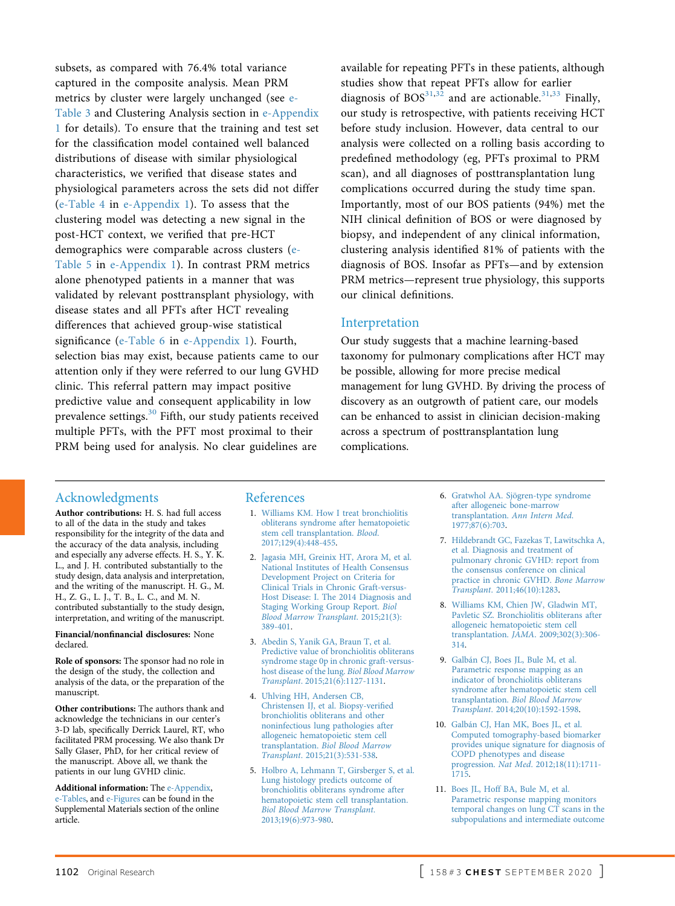subsets, as compared with 76.4% total variance captured in the composite analysis. Mean PRM metrics by cluster were largely unchanged (see e-Table 3 and Clustering Analysis section in e-Appendix 1 for details). To ensure that the training and test set for the classification model contained well balanced distributions of disease with similar physiological characteristics, we verified that disease states and physiological parameters across the sets did not differ (e-Table 4 in e-Appendix 1). To assess that the clustering model was detecting a new signal in the post-HCT context, we verified that pre-HCT demographics were comparable across clusters (e-Table 5 in e-Appendix 1). In contrast PRM metrics alone phenotyped patients in a manner that was validated by relevant posttransplant physiology, with disease states and all PFTs after HCT revealing differences that achieved group-wise statistical significance (e-Table 6 in e-Appendix 1). Fourth, selection bias may exist, because patients came to our attention only if they were referred to our lung GVHD clinic. This referral pattern may impact positive predictive value and consequent applicability in low prevalence settings.[30](#page-13-18) Fifth, our study patients received multiple PFTs, with the PFT most proximal to their PRM being used for analysis. No clear guidelines are

available for repeating PFTs in these patients, although studies show that repeat PFTs allow for earlier diagnosis of BOS $^{31,32}$  $^{31,32}$  $^{31,32}$  $^{31,32}$  $^{31,32}$  and are actionable.<sup>[31,](#page-13-19)[33](#page-13-21)</sup> Finally, our study is retrospective, with patients receiving HCT before study inclusion. However, data central to our analysis were collected on a rolling basis according to predefined methodology (eg, PFTs proximal to PRM scan), and all diagnoses of posttransplantation lung complications occurred during the study time span. Importantly, most of our BOS patients (94%) met the NIH clinical definition of BOS or were diagnosed by biopsy, and independent of any clinical information, clustering analysis identified 81% of patients with the diagnosis of BOS. Insofar as PFTs—and by extension PRM metrics—represent true physiology, this supports our clinical definitions.

## Interpretation

Our study suggests that a machine learning-based taxonomy for pulmonary complications after HCT may be possible, allowing for more precise medical management for lung GVHD. By driving the process of discovery as an outgrowth of patient care, our models can be enhanced to assist in clinician decision-making across a spectrum of posttransplantation lung complications.

# Acknowledgments

Author contributions: H. S. had full access to all of the data in the study and takes responsibility for the integrity of the data and the accuracy of the data analysis, including and especially any adverse effects. H. S., Y. K. L., and J. H. contributed substantially to the study design, data analysis and interpretation, and the writing of the manuscript. H. G., M. H., Z. G., L. J., T. B., L. C., and M. N. contributed substantially to the study design, interpretation, and writing of the manuscript.

#### Financial/nonfinancial disclosures: None declared.

Role of sponsors: The sponsor had no role in the design of the study, the collection and analysis of the data, or the preparation of the manuscript.

Other contributions: The authors thank and acknowledge the technicians in our center's 3-D lab, specifically Derrick Laurel, RT, who facilitated PRM processing. We also thank Dr Sally Glaser, PhD, for her critical review of the manuscript. Above all, we thank the patients in our lung GVHD clinic.

Additional information: The e-Appendix, e-Tables, and e-Figures can be found in the Supplemental Materials section of the online article.

# References

- <span id="page-12-0"></span>1. [Williams KM. How I treat bronchiolitis](http://refhub.elsevier.com/S0012-3692(20)30748-0/sref1) [obliterans syndrome after hematopoietic](http://refhub.elsevier.com/S0012-3692(20)30748-0/sref1) [stem cell transplantation.](http://refhub.elsevier.com/S0012-3692(20)30748-0/sref1) Blood. [2017;129\(4\):448-455](http://refhub.elsevier.com/S0012-3692(20)30748-0/sref1).
- <span id="page-12-1"></span>2. [Jagasia MH, Greinix HT, Arora M, et al.](http://refhub.elsevier.com/S0012-3692(20)30748-0/sref2) [National Institutes of Health Consensus](http://refhub.elsevier.com/S0012-3692(20)30748-0/sref2) [Development Project on Criteria for](http://refhub.elsevier.com/S0012-3692(20)30748-0/sref2) [Clinical Trials in Chronic Graft-versus-](http://refhub.elsevier.com/S0012-3692(20)30748-0/sref2)[Host Disease: I. The 2014 Diagnosis and](http://refhub.elsevier.com/S0012-3692(20)30748-0/sref2) [Staging Working Group Report.](http://refhub.elsevier.com/S0012-3692(20)30748-0/sref2) Biol [Blood Marrow Transplant](http://refhub.elsevier.com/S0012-3692(20)30748-0/sref2). 2015;21(3): [389-401](http://refhub.elsevier.com/S0012-3692(20)30748-0/sref2).
- <span id="page-12-2"></span>3. [Abedin S, Yanik GA, Braun T, et al.](http://refhub.elsevier.com/S0012-3692(20)30748-0/sref3) [Predictive value of bronchiolitis obliterans](http://refhub.elsevier.com/S0012-3692(20)30748-0/sref3) [syndrome stage 0p in chronic graft-versus](http://refhub.elsevier.com/S0012-3692(20)30748-0/sref3)[host disease of the lung.](http://refhub.elsevier.com/S0012-3692(20)30748-0/sref3) Biol Blood Marrow Transplant[. 2015;21\(6\):1127-1131.](http://refhub.elsevier.com/S0012-3692(20)30748-0/sref3)
- <span id="page-12-3"></span>4. [Uhlving HH, Andersen CB,](http://refhub.elsevier.com/S0012-3692(20)30748-0/sref4) [Christensen IJ, et al. Biopsy-veri](http://refhub.elsevier.com/S0012-3692(20)30748-0/sref4)fied [bronchiolitis obliterans and other](http://refhub.elsevier.com/S0012-3692(20)30748-0/sref4) [noninfectious lung pathologies after](http://refhub.elsevier.com/S0012-3692(20)30748-0/sref4) [allogeneic hematopoietic stem cell](http://refhub.elsevier.com/S0012-3692(20)30748-0/sref4) transplantation. [Biol Blood Marrow](http://refhub.elsevier.com/S0012-3692(20)30748-0/sref4) Transplant[. 2015;21\(3\):531-538.](http://refhub.elsevier.com/S0012-3692(20)30748-0/sref4)
- <span id="page-12-4"></span>5. [Holbro A, Lehmann T, Girsberger S, et al.](http://refhub.elsevier.com/S0012-3692(20)30748-0/sref5) [Lung histology predicts outcome of](http://refhub.elsevier.com/S0012-3692(20)30748-0/sref5) [bronchiolitis obliterans syndrome after](http://refhub.elsevier.com/S0012-3692(20)30748-0/sref5) [hematopoietic stem cell transplantation.](http://refhub.elsevier.com/S0012-3692(20)30748-0/sref5) [Biol Blood Marrow Transplant](http://refhub.elsevier.com/S0012-3692(20)30748-0/sref5). [2013;19\(6\):973-980.](http://refhub.elsevier.com/S0012-3692(20)30748-0/sref5)
- <span id="page-12-5"></span>6. [Gratwhol AA. Sjögren-type syndrome](http://refhub.elsevier.com/S0012-3692(20)30748-0/sref6) [after allogeneic bone-marrow](http://refhub.elsevier.com/S0012-3692(20)30748-0/sref6) transplantation. [Ann Intern Med](http://refhub.elsevier.com/S0012-3692(20)30748-0/sref6). [1977;87\(6\):703](http://refhub.elsevier.com/S0012-3692(20)30748-0/sref6).
- <span id="page-12-9"></span>7. [Hildebrandt GC, Fazekas T, Lawitschka A,](http://refhub.elsevier.com/S0012-3692(20)30748-0/sref7) [et al. Diagnosis and treatment of](http://refhub.elsevier.com/S0012-3692(20)30748-0/sref7) [pulmonary chronic GVHD: report from](http://refhub.elsevier.com/S0012-3692(20)30748-0/sref7) [the consensus conference on clinical](http://refhub.elsevier.com/S0012-3692(20)30748-0/sref7) [practice in chronic GVHD.](http://refhub.elsevier.com/S0012-3692(20)30748-0/sref7) Bone Marrow Transplant[. 2011;46\(10\):1283.](http://refhub.elsevier.com/S0012-3692(20)30748-0/sref7)
- 8. [Williams KM, Chien JW, Gladwin MT,](http://refhub.elsevier.com/S0012-3692(20)30748-0/sref8) [Pavletic SZ. Bronchiolitis obliterans after](http://refhub.elsevier.com/S0012-3692(20)30748-0/sref8) [allogeneic hematopoietic stem cell](http://refhub.elsevier.com/S0012-3692(20)30748-0/sref8) transplantation. JAMA[. 2009;302\(3\):306-](http://refhub.elsevier.com/S0012-3692(20)30748-0/sref8) [314.](http://refhub.elsevier.com/S0012-3692(20)30748-0/sref8)
- <span id="page-12-6"></span>9. [Galbán CJ, Boes JL, Bule M, et al.](http://refhub.elsevier.com/S0012-3692(20)30748-0/sref9) [Parametric response mapping as an](http://refhub.elsevier.com/S0012-3692(20)30748-0/sref9) [indicator of bronchiolitis obliterans](http://refhub.elsevier.com/S0012-3692(20)30748-0/sref9) [syndrome after hematopoietic stem cell](http://refhub.elsevier.com/S0012-3692(20)30748-0/sref9) transplantation. [Biol Blood Marrow](http://refhub.elsevier.com/S0012-3692(20)30748-0/sref9) Transplant[. 2014;20\(10\):1592-1598](http://refhub.elsevier.com/S0012-3692(20)30748-0/sref9).
- <span id="page-12-7"></span>10. [Galbán CJ, Han MK, Boes JL, et al.](http://refhub.elsevier.com/S0012-3692(20)30748-0/sref10) [Computed tomography-based biomarker](http://refhub.elsevier.com/S0012-3692(20)30748-0/sref10) [provides unique signature for diagnosis of](http://refhub.elsevier.com/S0012-3692(20)30748-0/sref10) [COPD phenotypes and disease](http://refhub.elsevier.com/S0012-3692(20)30748-0/sref10) progression. Nat Med[. 2012;18\(11\):1711-](http://refhub.elsevier.com/S0012-3692(20)30748-0/sref10) [1715](http://refhub.elsevier.com/S0012-3692(20)30748-0/sref10).
- <span id="page-12-8"></span>11. [Boes JL, Hoff BA, Bule M, et al.](http://refhub.elsevier.com/S0012-3692(20)30748-0/sref11) [Parametric response mapping monitors](http://refhub.elsevier.com/S0012-3692(20)30748-0/sref11) [temporal changes on lung CT scans in the](http://refhub.elsevier.com/S0012-3692(20)30748-0/sref11) [subpopulations and intermediate outcome](http://refhub.elsevier.com/S0012-3692(20)30748-0/sref11)